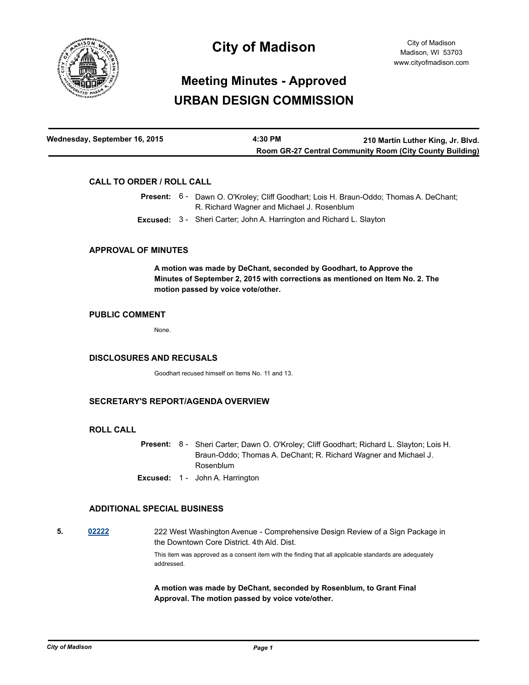

# **City of Madison**

# **Meeting Minutes - Approved URBAN DESIGN COMMISSION**

| Wednesday, September 16, 2015 | 4:30 PM | 210 Martin Luther King, Jr. Blvd.                               |
|-------------------------------|---------|-----------------------------------------------------------------|
|                               |         | <b>Room GR-27 Central Community Room (City County Building)</b> |

### **CALL TO ORDER / ROLL CALL**

|  | <b>Present:</b> 6 - Dawn O. O'Kroley: Cliff Goodhart: Lois H. Braun-Oddo: Thomas A. DeChant: |  |
|--|----------------------------------------------------------------------------------------------|--|
|  | R. Richard Wagner and Michael J. Rosenblum                                                   |  |
|  | <b>Excused:</b> 3 - Sheri Carter; John A. Harrington and Richard L. Slayton                  |  |

#### **APPROVAL OF MINUTES**

**A motion was made by DeChant, seconded by Goodhart, to Approve the Minutes of September 2, 2015 with corrections as mentioned on Item No. 2. The motion passed by voice vote/other.**

#### **PUBLIC COMMENT**

None.

#### **DISCLOSURES AND RECUSALS**

Goodhart recused himself on Items No. 11 and 13.

#### **SECRETARY'S REPORT/AGENDA OVERVIEW**

#### **ROLL CALL**

- Present: 8 Sheri Carter; Dawn O. O'Kroley; Cliff Goodhart; Richard L. Slayton; Lois H. Braun-Oddo; Thomas A. DeChant; R. Richard Wagner and Michael J. Rosenblum
- **Excused:** 1 John A. Harrington

#### **ADDITIONAL SPECIAL BUSINESS**

**5. [02222](http://madison.legistar.com/gateway.aspx?m=l&id=/matter.aspx?key=2985)** 222 West Washington Avenue - Comprehensive Design Review of a Sign Package in the Downtown Core District. 4th Ald. Dist.

> This item was approved as a consent item with the finding that all applicable standards are adequately addressed.

**A motion was made by DeChant, seconded by Rosenblum, to Grant Final Approval. The motion passed by voice vote/other.**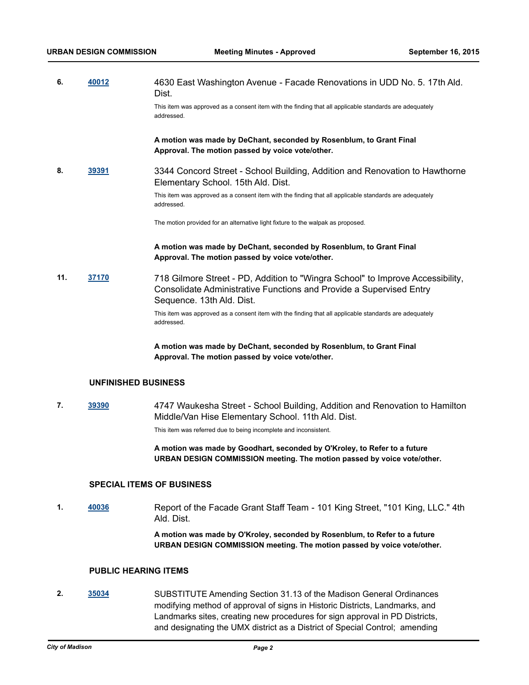| 6. | 40012 | 4630 East Washington Avenue - Facade Renovations in UDD No. 5. 17th Ald.<br>Dist.                                    |
|----|-------|----------------------------------------------------------------------------------------------------------------------|
|    |       | This item was approved as a consent item with the finding that all applicable standards are adequately<br>addressed. |

**A motion was made by DeChant, seconded by Rosenblum, to Grant Final Approval. The motion passed by voice vote/other.**

**8. [39391](http://madison.legistar.com/gateway.aspx?m=l&id=/matter.aspx?key=42971)** 3344 Concord Street - School Building, Addition and Renovation to Hawthorne Elementary School. 15th Ald. Dist.

> This item was approved as a consent item with the finding that all applicable standards are adequately addressed.

The motion provided for an alternative light fixture to the walpak as proposed.

#### **A motion was made by DeChant, seconded by Rosenblum, to Grant Final Approval. The motion passed by voice vote/other.**

**11. [37170](http://madison.legistar.com/gateway.aspx?m=l&id=/matter.aspx?key=39995)** 718 Gilmore Street - PD, Addition to "Wingra School" to Improve Accessibility, Consolidate Administrative Functions and Provide a Supervised Entry Sequence. 13th Ald. Dist.

This item was approved as a consent item with the finding that all applicable standards are adequately addressed.

**A motion was made by DeChant, seconded by Rosenblum, to Grant Final Approval. The motion passed by voice vote/other.**

#### **UNFINISHED BUSINESS**

**7. [39390](http://madison.legistar.com/gateway.aspx?m=l&id=/matter.aspx?key=42970)** 4747 Waukesha Street - School Building, Addition and Renovation to Hamilton Middle/Van Hise Elementary School. 11th Ald. Dist. This item was referred due to being incomplete and inconsistent.

> **A motion was made by Goodhart, seconded by O'Kroley, to Refer to a future URBAN DESIGN COMMISSION meeting. The motion passed by voice vote/other.**

#### **SPECIAL ITEMS OF BUSINESS**

**1. [40036](http://madison.legistar.com/gateway.aspx?m=l&id=/matter.aspx?key=43580)** Report of the Facade Grant Staff Team - 101 King Street, "101 King, LLC." 4th Ald. Dist.

> **A motion was made by O'Kroley, seconded by Rosenblum, to Refer to a future URBAN DESIGN COMMISSION meeting. The motion passed by voice vote/other.**

# **PUBLIC HEARING ITEMS**

**2. [35034](http://madison.legistar.com/gateway.aspx?m=l&id=/matter.aspx?key=38125)** SUBSTITUTE Amending Section 31.13 of the Madison General Ordinances modifying method of approval of signs in Historic Districts, Landmarks, and Landmarks sites, creating new procedures for sign approval in PD Districts, and designating the UMX district as a District of Special Control; amending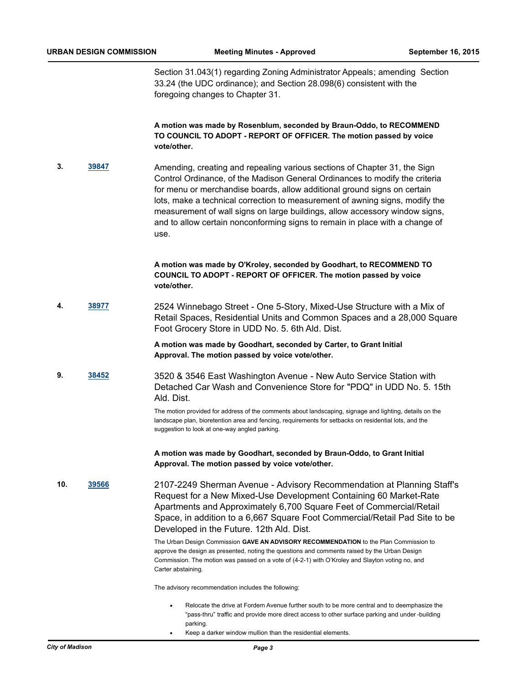Section 31.043(1) regarding Zoning Administrator Appeals; amending Section 33.24 (the UDC ordinance); and Section 28.098(6) consistent with the foregoing changes to Chapter 31.

**A motion was made by Rosenblum, seconded by Braun-Oddo, to RECOMMEND TO COUNCIL TO ADOPT - REPORT OF OFFICER. The motion passed by voice vote/other.**

**3. [39847](http://madison.legistar.com/gateway.aspx?m=l&id=/matter.aspx?key=43401)** Amending, creating and repealing various sections of Chapter 31, the Sign Control Ordinance, of the Madison General Ordinances to modify the criteria for menu or merchandise boards, allow additional ground signs on certain lots, make a technical correction to measurement of awning signs, modify the measurement of wall signs on large buildings, allow accessory window signs, and to allow certain nonconforming signs to remain in place with a change of use.

> **A motion was made by O'Kroley, seconded by Goodhart, to RECOMMEND TO COUNCIL TO ADOPT - REPORT OF OFFICER. The motion passed by voice vote/other.**

**4. [38977](http://madison.legistar.com/gateway.aspx?m=l&id=/matter.aspx?key=41588)** 2524 Winnebago Street - One 5-Story, Mixed-Use Structure with a Mix of Retail Spaces, Residential Units and Common Spaces and a 28,000 Square Foot Grocery Store in UDD No. 5. 6th Ald. Dist.

> **A motion was made by Goodhart, seconded by Carter, to Grant Initial Approval. The motion passed by voice vote/other.**

**9. [38452](http://madison.legistar.com/gateway.aspx?m=l&id=/matter.aspx?key=41142)** 3520 & 3546 East Washington Avenue - New Auto Service Station with Detached Car Wash and Convenience Store for "PDQ" in UDD No. 5. 15th Ald. Dist.

> The motion provided for address of the comments about landscaping, signage and lighting, details on the landscape plan, bioretention area and fencing, requirements for setbacks on residential lots, and the suggestion to look at one-way angled parking.

**A motion was made by Goodhart, seconded by Braun-Oddo, to Grant Initial Approval. The motion passed by voice vote/other.**

**10. [39566](http://madison.legistar.com/gateway.aspx?m=l&id=/matter.aspx?key=43134)** 2107-2249 Sherman Avenue - Advisory Recommendation at Planning Staff's Request for a New Mixed-Use Development Containing 60 Market-Rate Apartments and Approximately 6,700 Square Feet of Commercial/Retail Space, in addition to a 6,667 Square Foot Commercial/Retail Pad Site to be Developed in the Future. 12th Ald. Dist.

> The Urban Design Commission **GAVE AN ADVISORY RECOMMENDATION** to the Plan Commission to approve the design as presented, noting the questions and comments raised by the Urban Design Commission. The motion was passed on a vote of (4-2-1) with O'Kroley and Slayton voting no, and Carter abstaining.

The advisory recommendation includes the following:

- Relocate the drive at Fordem Avenue further south to be more central and to deemphasize the "pass-thru" traffic and provide more direct access to other surface parking and under -building parking.
- Keep a darker window mullion than the residential elements.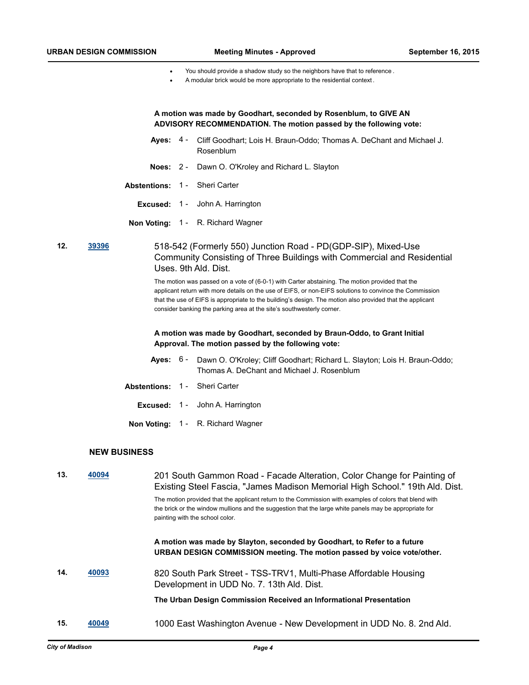- · You should provide a shadow study so the neighbors have that to reference .
- A modular brick would be more appropriate to the residential context.

| A motion was made by Goodhart, seconded by Rosenblum, to GIVE AN  |
|-------------------------------------------------------------------|
| ADVISORY RECOMMENDATION. The motion passed by the following vote: |

- Ayes: 4 Cliff Goodhart; Lois H. Braun-Oddo; Thomas A. DeChant and Michael J. Rosenblum
- **Noes:** 2 Dawn O. O'Kroley and Richard L. Slayton
- **Abstentions:** 1 Sheri Carter
	- **Excused:** 1 John A. Harrington
- **Non Voting:** 1 R. Richard Wagner

**12. [39396](http://madison.legistar.com/gateway.aspx?m=l&id=/matter.aspx?key=42976)** 518-542 (Formerly 550) Junction Road - PD(GDP-SIP), Mixed-Use Community Consisting of Three Buildings with Commercial and Residential Uses. 9th Ald. Dist.

> The motion was passed on a vote of (6-0-1) with Carter abstaining. The motion provided that the applicant return with more details on the use of EIFS, or non-EIFS solutions to convince the Commission that the use of EIFS is appropriate to the building's design. The motion also provided that the applicant consider banking the parking area at the site's southwesterly corner.

#### **A motion was made by Goodhart, seconded by Braun-Oddo, to Grant Initial Approval. The motion passed by the following vote:**

- Ayes: 6 Dawn O. O'Kroley; Cliff Goodhart; Richard L. Slayton; Lois H. Braun-Oddo; Thomas A. DeChant and Michael J. Rosenblum
- **Abstentions:** 1 Sheri Carter
	- **Excused:** 1 John A. Harrington
	- **Non Voting:** 1 R. Richard Wagner

### **NEW BUSINESS**

| 13. | 40094 | 201 South Gammon Road - Facade Alteration, Color Change for Painting of<br>Existing Steel Fascia, "James Madison Memorial High School." 19th Ald. Dist.                                                                                              |
|-----|-------|------------------------------------------------------------------------------------------------------------------------------------------------------------------------------------------------------------------------------------------------------|
|     |       | The motion provided that the applicant return to the Commission with examples of colors that blend with<br>the brick or the window mullions and the suggestion that the large white panels may be appropriate for<br>painting with the school color. |
|     |       | A motion was made by Slayton, seconded by Goodhart, to Refer to a future<br>URBAN DESIGN COMMISSION meeting. The motion passed by voice vote/other.                                                                                                  |
| 14. | 40093 | 820 South Park Street - TSS-TRV1, Multi-Phase Affordable Housing<br>Development in UDD No. 7. 13th Ald. Dist.                                                                                                                                        |
|     |       | The Urban Design Commission Received an Informational Presentation                                                                                                                                                                                   |
| 15. | 40049 | 1000 East Washington Avenue - New Development in UDD No. 8. 2nd Ald.                                                                                                                                                                                 |